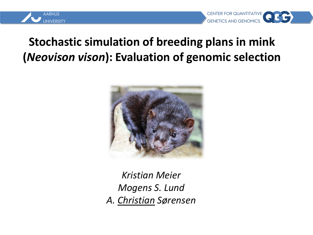

#### **Stochastic simulation of breeding plans in mink (***Neovison vison***): Evaluation of genomic selection**



*Kristian Meier Mogens S. Lund A. Christian Sørensen*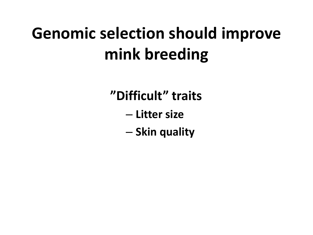# **Genomic selection should improve mink breeding**

**"Difficult" traits**

- **Litter size**
- **Skin quality**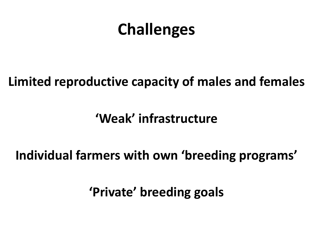## **Challenges**

#### **Limited reproductive capacity of males and females**

### **'Weak' infrastructure**

### **Individual farmers with own 'breeding programs'**

**'Private' breeding goals**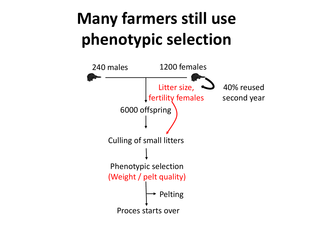# **Many farmers still use phenotypic selection**

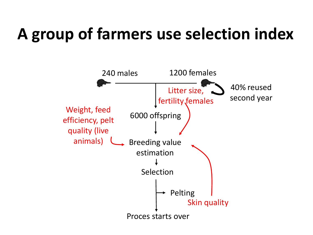# **A group of farmers use selection index**

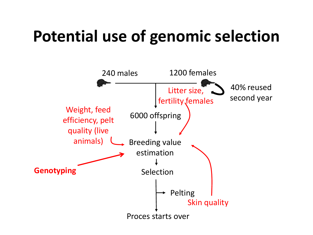# **Potential use of genomic selection**

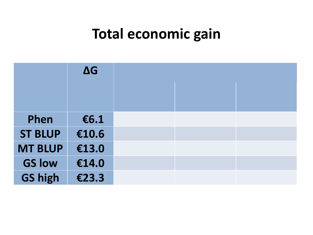### **Total economic gain**

|                | $\Delta G$ |  |  |
|----------------|------------|--|--|
|                |            |  |  |
|                |            |  |  |
| Phen           | €6.1       |  |  |
| <b>ST BLUP</b> | €10.6      |  |  |
| <b>MT BLUP</b> | €13.0      |  |  |
| <b>GS low</b>  | €14.0      |  |  |
| <b>GS high</b> | €23.3      |  |  |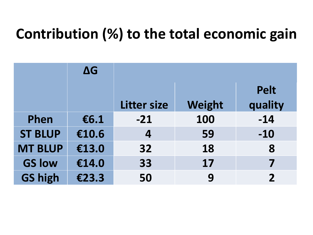### **Contribution (%) to the total economic gain**

|                | $\Delta G$ |                    |        |                |
|----------------|------------|--------------------|--------|----------------|
|                |            |                    |        | <b>Pelt</b>    |
|                |            | <b>Litter size</b> | Weight | quality        |
| Phen           | €6.1       | $-21$              | 100    | $-14$          |
| <b>ST BLUP</b> | €10.6      | 4                  | 59     | $-10$          |
| <b>MT BLUP</b> | €13.0      | 32                 | 18     | 8              |
| <b>GS low</b>  | €14.0      | 33                 | 17     | 7              |
| <b>GS high</b> | €23.3      | 50                 | 9      | $\overline{2}$ |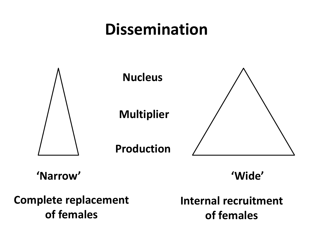## **Dissemination**



**'Narrow' 'Wide'**

**Complete replacement of females**

**Internal recruitment of females**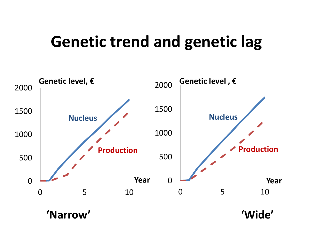### **Genetic trend and genetic lag**

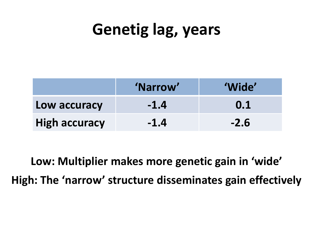# **Genetig lag, years**

|                      | 'Narrow' | 'Wide' |
|----------------------|----------|--------|
| Low accuracy         | $-1.4$   | 0.1    |
| <b>High accuracy</b> | $-1.4$   | $-2.6$ |

**Low: Multiplier makes more genetic gain in 'wide' High: The 'narrow' structure disseminates gain effectively**